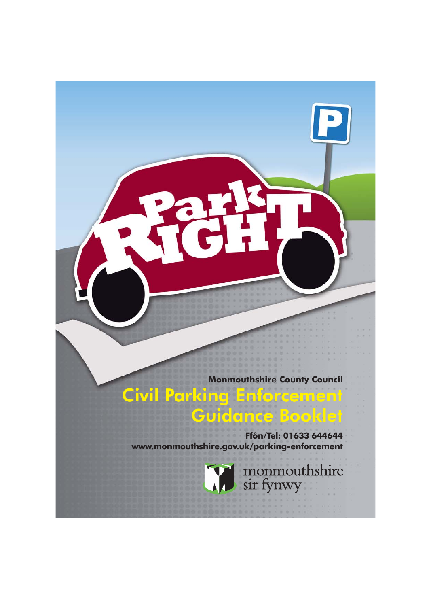**Monmouthshire County Council**

**Civil Parking Enforcement Guidance Booklet**

**Ffôn/Tel: 01633 644644 www.monmouthshire.gov.uk/parking-enforcement**



monmouthshire<br>sir fynwy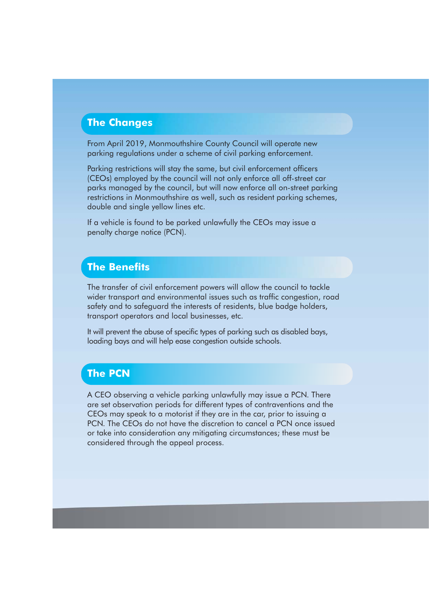#### **The Changes**

From April 2019, Monmouthshire County Council will operate new parking regulations under a scheme of civil parking enforcement.

Parking restrictions will stay the same, but civil enforcement officers (CEOs) employed by the council will not only enforce all off-street car parks managed by the council, but will now enforce all on-street parking restrictions in Monmouthshire as well, such as resident parking schemes, double and single yellow lines etc.

If a vehicle is found to be parked unlawfully the CEOs may issue a penalty charge notice (PCN).

## **The Benefits**

The transfer of civil enforcement powers will allow the council to tackle wider transport and environmental issues such as traffic congestion, road safety and to safeguard the interests of residents, blue badge holders, transport operators and local businesses, etc.

It will prevent the abuse of specific types of parking such as disabled bays, loading bays and will help ease congestion outside schools.

## **The PCN**

A CEO observing a vehicle parking unlawfully may issue a PCN. There are set observation periods for different types of contraventions and the CEOs may speak to a motorist if they are in the car, prior to issuing a PCN. The CEOs do not have the discretion to cancel a PCN once issued or take into consideration any mitigating circumstances; these must be considered through the appeal process.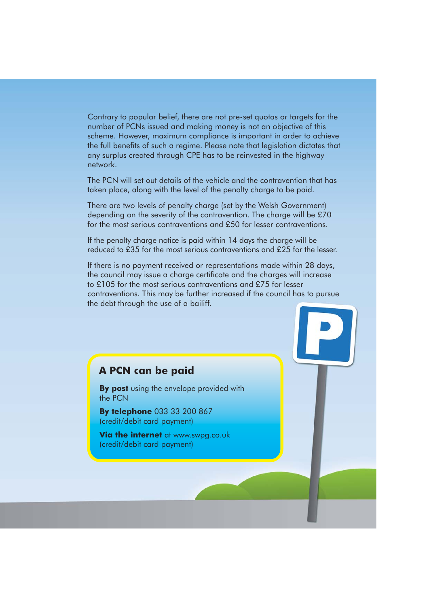Contrary to popular belief, there are not pre-set quotas or targets for the number of PCNs issued and making money is not an objective of this scheme. However, maximum compliance is important in order to achieve the full benefits of such a regime. Please note that legislation dictates that any surplus created through CPE has to be reinvested in the highway network.

The PCN will set out details of the vehicle and the contravention that has taken place, along with the level of the penalty charge to be paid.

There are two levels of penalty charge (set by the Welsh Government) depending on the severity of the contravention. The charge will be £70 for the most serious contraventions and £50 for lesser contraventions.

If the penalty charge notice is paid within 14 days the charge will be reduced to £35 for the most serious contraventions and £25 for the lesser.

If there is no payment received or representations made within 28 days, the council may issue a charge certificate and the charges will increase to £105 for the most serious contraventions and £75 for lesser contraventions. This may be further increased if the council has to pursue the debt through the use of a bailiff.

#### **A PCN can be paid**

**By post** using the envelope provided with the PCN

**By telephone** 033 33 200 867 (credit/debit card payment)

**Via the internet** at www.swpg.co.uk (credit/debit card payment)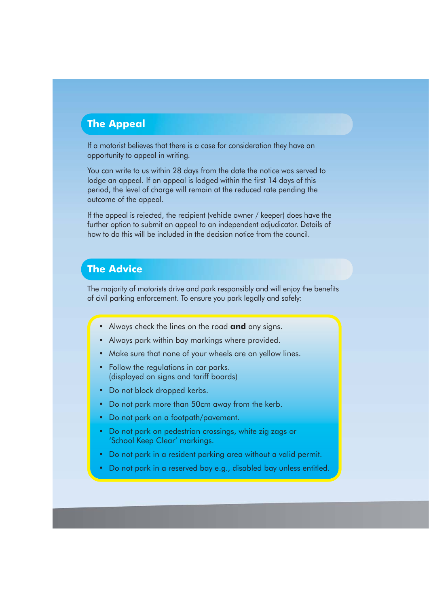## **The Appeal**

If a motorist believes that there is a case for consideration they have an opportunity to appeal in writing.

You can write to us within 28 days from the date the notice was served to lodge an appeal. If an appeal is lodged within the first 14 days of this period, the level of charge will remain at the reduced rate pending the outcome of the appeal.

If the appeal is rejected, the recipient (vehicle owner / keeper) does have the further option to submit an appeal to an independent adjudicator. Details of how to do this will be included in the decision notice from the council.

# **The Advice**

The majority of motorists drive and park responsibly and will enjoy the benefits of civil parking enforcement. To ensure you park legally and safely:

- Always check the lines on the road **and** any signs.
- Always park within bay markings where provided.
- Make sure that none of your wheels are on yellow lines.
- Follow the regulations in car parks. (displayed on signs and tariff boards)
- Do not block dropped kerbs.
- Do not park more than 50cm away from the kerb.
- Do not park on a footpath/pavement.
- Do not park on pedestrian crossings, white zig zags or 'School Keep Clear' markings.
- Do not park in a resident parking area without a valid permit.
- Do not park in a reserved bay e.g., disabled bay unless entitled.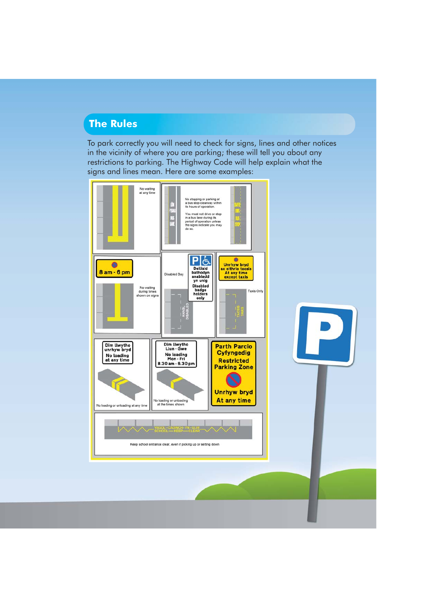### **The Rules**

To park correctly you will need to check for signs, lines and other notices in the vicinity of where you are parking; these will tell you about any restrictions to parking. The Highway Code will help explain what the signs and lines mean. Here are some examples:



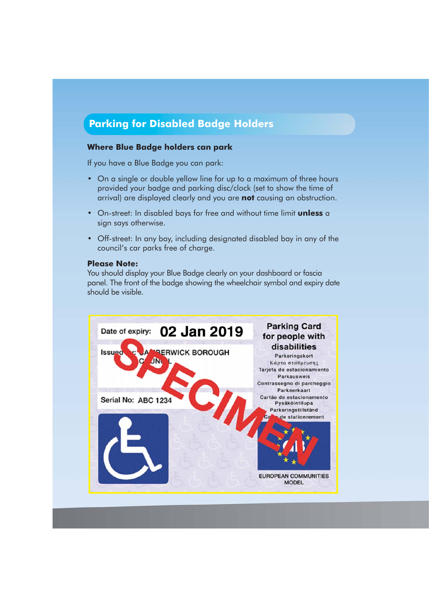# **Parking for Disabled Badge Holders**

#### **Where Blue Badge holders can park**

If you have a Blue Badge you can park:

- On a single or double yellow line for up to a maximum of three hours provided your badge and parking disc/clock (set to show the time of arrival) are displayed clearly and you are **not** causing an obstruction.
- On-street: In disabled bays for free and without time limit **unless** a sign says otherwise.
- Off-street: In any bay, including designated disabled bay in any of the council's car parks free of charge.

#### **Please Note:**

You should display your Blue Badge clearly on your dashboard or fascia panel. The front of the badge showing the wheelchair symbol and expiry date should be visible.

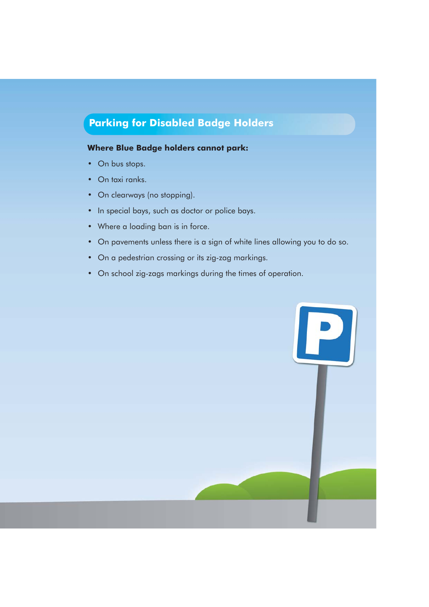# **Parking for Disabled Badge Holders**

#### **Where Blue Badge holders cannot park:**

- On bus stops.
- On taxi ranks.
- On clearways (no stopping).
- In special bays, such as doctor or police bays.
- Where a loading ban is in force.
- On pavements unless there is a sign of white lines allowing you to do so.
- On a pedestrian crossing or its zig-zag markings.
- On school zig-zags markings during the times of operation.